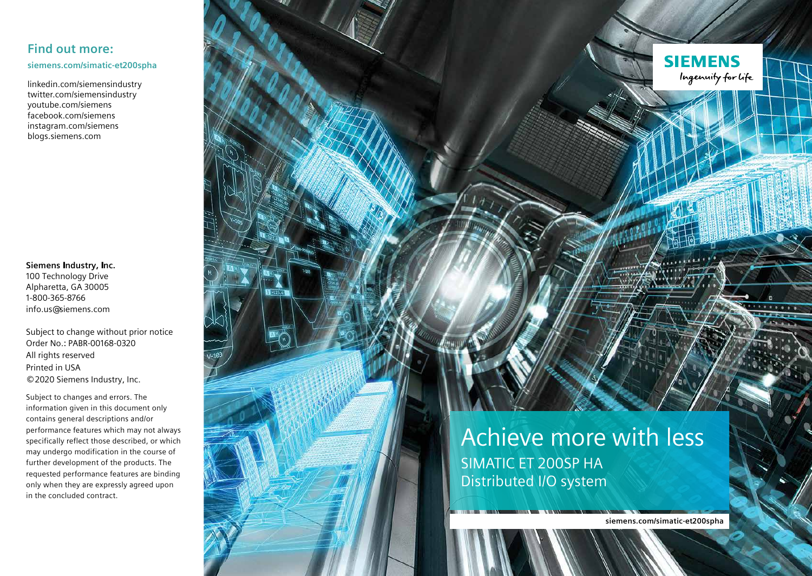### **Find out more:**

**siemens.com/simatic-et200spha**

linkedin.com/siemensindustry twitter.com/siemensindustry youtube.com/siemens facebook.com/siemens instagram.com/siemens blogs.siemens.com

**Siemens Industry, Inc.**  100 Technology Drive Alpharetta, GA 30005 1-800-365-8766 info.us@siemens.com

Subject to change without prior notice Order No.: PABR-00168-0320 All rights reserved Printed in USA © 2020 Siemens Industry, Inc.

Subject to changes and errors. The information given in this document only contains general descriptions and/or performance features which may not always specifically reflect those described, or which may undergo modification in the course of further development of the products. The requested performance features are binding only when they are expressly agreed upon in the concluded contract.

Achieve more with less SIMATIC ET 200SP HA Distributed I/O system

**siemens.com/simatic-et200spha**

**SIEMENS** 

Ingenuity for Life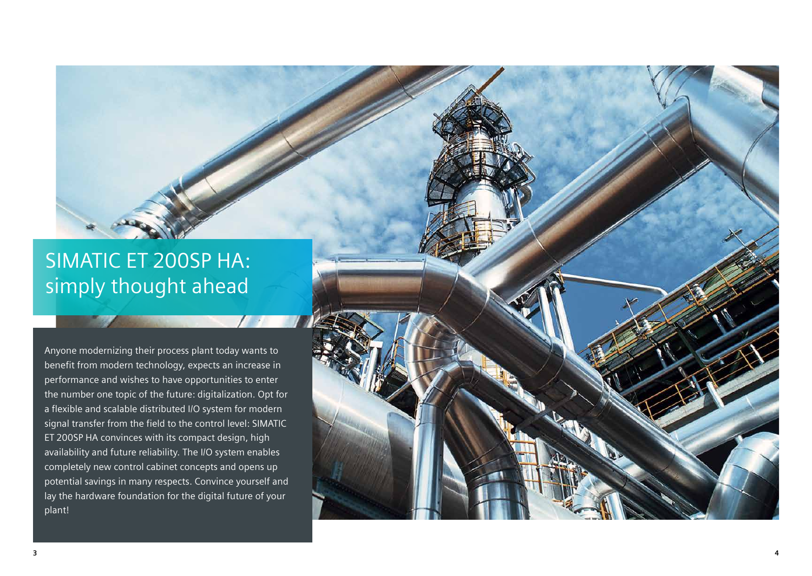### SIMATIC ET 200SP HA: simply thought ahead

Anyone modernizing their process plant today wants to benefit from modern technology, expects an increase in performance and wishes to have opportunities to enter the number one topic of the future: digitalization. Opt for a flexible and scalable distributed I/O system for modern signal transfer from the field to the control level: SIMATIC ET 200SP HA convinces with its compact design, high availability and future reliability. The I/O system enables completely new control cabinet concepts and opens up potential savings in many respects. Convince yourself and lay the hardware foundation for the digital future of your plant!

**3**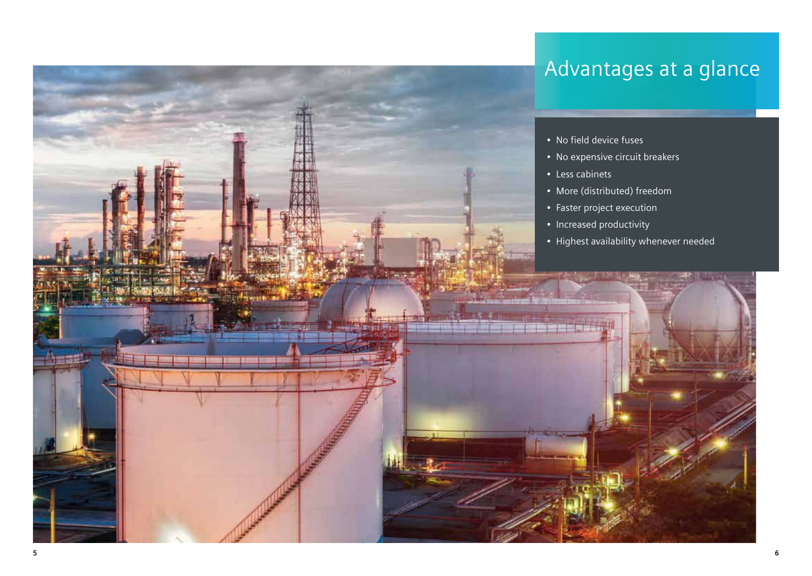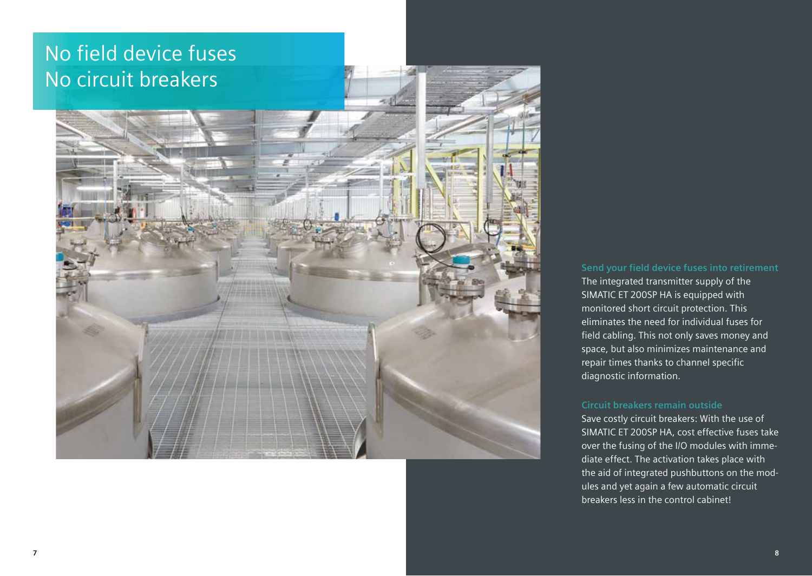## No field device fuses No circuit breakers



#### **Send your field device fuses into retirement**

The integrated transmitter supply of the SIMATIC ET 200SP HA is equipped with monitored short circuit protection. This eliminates the need for individual fuses for field cabling. This not only saves money and space, but also minimizes maintenance and repair times thanks to channel specific diagnostic information.

### **Circuit breakers remain outside**

Save costly circuit breakers: With the use of SIMATIC ET 200SP HA, cost effective fuses take over the fusing of the I/O modules with immediate effect. The activation takes place with the aid of integrated pushbuttons on the modules and yet again a few automatic circuit breakers less in the control cabinet!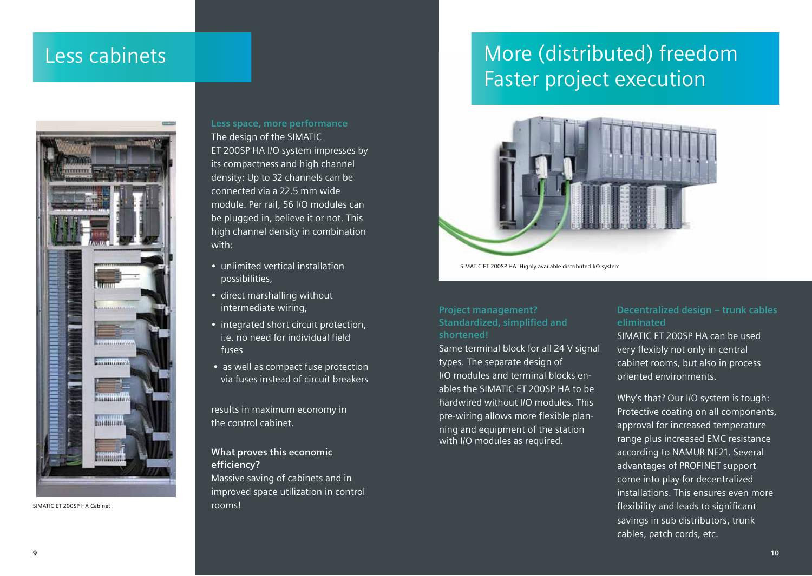### Less cabinets



SIMATIC ET 200SP HA Cabinet

#### **Less space, more performance**

The design of the SIMATIC ET 200SP HA I/O system impresses by its compactness and high channel density: Up to 32 channels can be connected via a 22.5 mm wide module. Per rail, 56 I/O modules can be plugged in, believe it or not. This high channel density in combination with:

- unlimited vertical installation possibilities,
- direct marshalling without intermediate wiring,
- integrated short circuit protection, i.e. no need for individual field fuses
- as well as compact fuse protection via fuses instead of circuit breakers

results in maximum economy in the control cabinet.

### **What proves this economic efficiency?**

Massive saving of cabinets and in improved space utilization in control rooms!

### More (distributed) freedom Faster project execution



SIMATIC ET 200SP HA: Highly available distributed I/O system

#### **Project management? Standardized, simplified and shortened!**

Same terminal block for all 24 V signal types. The separate design of I/O modules and terminal blocks enables the SIMATIC ET 200SP HA to be hardwired without I/O modules. This pre-wiring allows more flexible planning and equipment of the station with I/O modules as required.

#### **Decentralized design ‒ trunk cables eliminated**

SIMATIC ET 200SP HA can be used very flexibly not only in central cabinet rooms, but also in process oriented environments.

Why's that? Our I/O system is tough: Protective coating on all components, approval for increased temperature range plus increased EMC resistance according to NAMUR NE21. Several advantages of PROFINET support come into play for decentralized installations. This ensures even more flexibility and leads to significant savings in sub distributors, trunk cables, patch cords, etc.